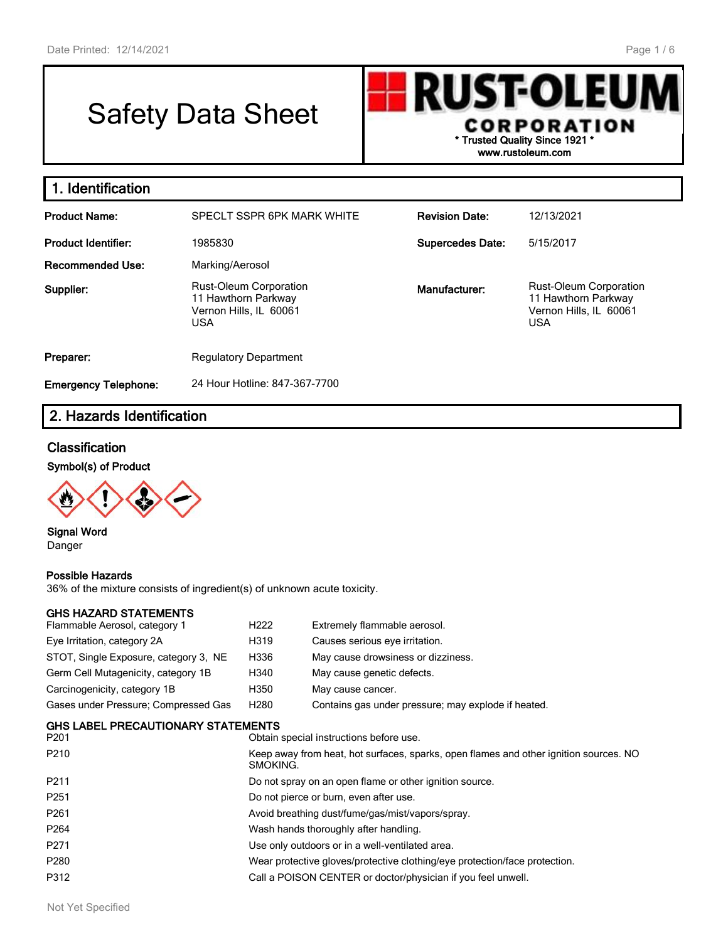# Safety Data Sheet

**RUST-OLEU** CORPORATION **\* Trusted Quality Since 1921 \* www.rustoleum.com**

| 1. Identification           |                                                                                              |                         |                                                                                       |
|-----------------------------|----------------------------------------------------------------------------------------------|-------------------------|---------------------------------------------------------------------------------------|
| <b>Product Name:</b>        | SPECLT SSPR 6PK MARK WHITE                                                                   | <b>Revision Date:</b>   | 12/13/2021                                                                            |
| <b>Product Identifier:</b>  | 1985830                                                                                      | <b>Supercedes Date:</b> | 5/15/2017                                                                             |
| Recommended Use:            | Marking/Aerosol                                                                              |                         |                                                                                       |
| Supplier:                   | <b>Rust-Oleum Corporation</b><br>11 Hawthorn Parkway<br>Vernon Hills, IL 60061<br><b>USA</b> | Manufacturer:           | Rust-Oleum Corporation<br>11 Hawthorn Parkway<br>Vernon Hills, IL 60061<br><b>USA</b> |
| Preparer:                   | <b>Regulatory Department</b>                                                                 |                         |                                                                                       |
| <b>Emergency Telephone:</b> | 24 Hour Hotline: 847-367-7700                                                                |                         |                                                                                       |

## **2. Hazards Identification**

#### **Classification**

**Symbol(s) of Product**



**Signal Word** Danger

#### **Possible Hazards**

36% of the mixture consists of ingredient(s) of unknown acute toxicity.

#### **GHS HAZARD STATEMENTS**

| Flammable Aerosol, category 1         | H <sub>222</sub> | Extremely flammable aerosol.                        |
|---------------------------------------|------------------|-----------------------------------------------------|
| Eye Irritation, category 2A           | H319             | Causes serious eye irritation.                      |
| STOT, Single Exposure, category 3, NE | H336             | May cause drowsiness or dizziness.                  |
| Germ Cell Mutagenicity, category 1B   | H340             | May cause genetic defects.                          |
| Carcinogenicity, category 1B          | H350             | May cause cancer.                                   |
| Gases under Pressure; Compressed Gas  | H <sub>280</sub> | Contains gas under pressure; may explode if heated. |

#### **GHS LABEL PRECAUTIONARY STATEMENTS**

| P <sub>201</sub> | Obtain special instructions before use.                                                           |
|------------------|---------------------------------------------------------------------------------------------------|
| P <sub>210</sub> | Keep away from heat, hot surfaces, sparks, open flames and other ignition sources. NO<br>SMOKING. |
| P <sub>211</sub> | Do not spray on an open flame or other ignition source.                                           |
| P <sub>251</sub> | Do not pierce or burn, even after use.                                                            |
| P <sub>261</sub> | Avoid breathing dust/fume/gas/mist/vapors/spray.                                                  |
| P <sub>264</sub> | Wash hands thoroughly after handling.                                                             |
| P <sub>271</sub> | Use only outdoors or in a well-ventilated area.                                                   |
| P280             | Wear protective gloves/protective clothing/eye protection/face protection.                        |
| P312             | Call a POISON CENTER or doctor/physician if you feel unwell.                                      |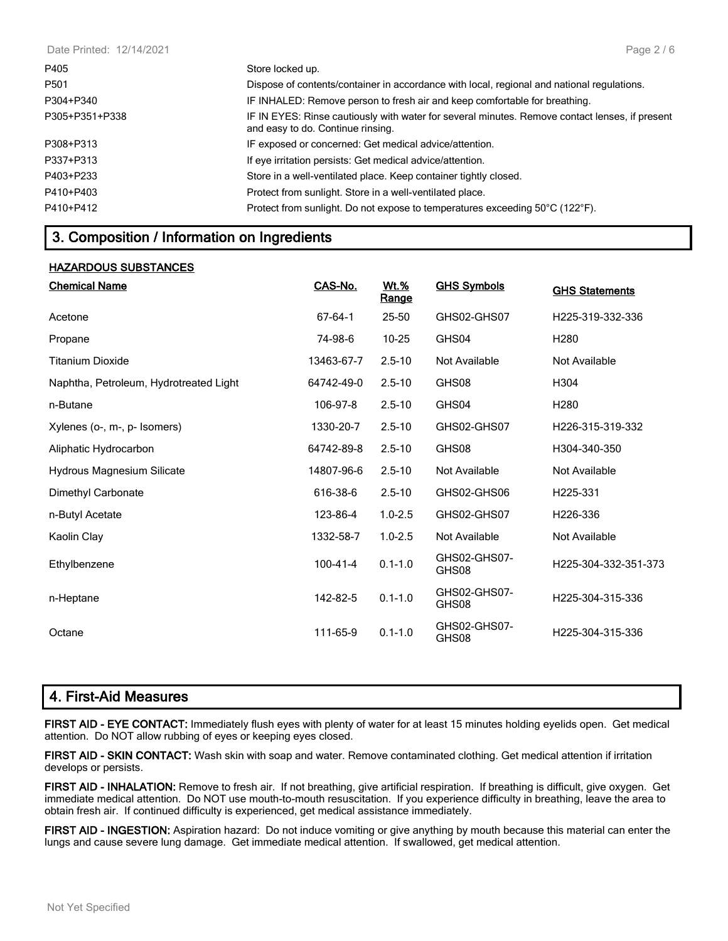| Date Printed: 12/14/2021 | Page $2/6$                                                                                                                          |
|--------------------------|-------------------------------------------------------------------------------------------------------------------------------------|
| P405                     | Store locked up.                                                                                                                    |
| P501                     | Dispose of contents/container in accordance with local, regional and national regulations.                                          |
| P304+P340                | IF INHALED: Remove person to fresh air and keep comfortable for breathing.                                                          |
| P305+P351+P338           | IF IN EYES: Rinse cautiously with water for several minutes. Remove contact lenses, if present<br>and easy to do. Continue rinsing. |
| P308+P313                | IF exposed or concerned: Get medical advice/attention.                                                                              |
| P337+P313                | If eye irritation persists: Get medical advice/attention.                                                                           |
| P403+P233                | Store in a well-ventilated place. Keep container tightly closed.                                                                    |
| P410+P403                | Protect from sunlight. Store in a well-ventilated place.                                                                            |
| P410+P412                | Protect from sunlight. Do not expose to temperatures exceeding 50°C (122°F).                                                        |

### **3. Composition / Information on Ingredients**

#### **HAZARDOUS SUBSTANCES**

| <b>Chemical Name</b>                   | CAS-No.        | <u>Wt.%</u><br>Range | <b>GHS Symbols</b>    | <b>GHS Statements</b> |
|----------------------------------------|----------------|----------------------|-----------------------|-----------------------|
| Acetone                                | 67-64-1        | 25-50                | GHS02-GHS07           | H225-319-332-336      |
| Propane                                | 74-98-6        | $10 - 25$            | GHS04                 | H <sub>280</sub>      |
| Titanium Dioxide                       | 13463-67-7     | $2.5 - 10$           | Not Available         | Not Available         |
| Naphtha, Petroleum, Hydrotreated Light | 64742-49-0     | $2.5 - 10$           | GHS08                 | H304                  |
| n-Butane                               | 106-97-8       | $2.5 - 10$           | GHS04                 | H <sub>280</sub>      |
| Xylenes (o-, m-, p- Isomers)           | 1330-20-7      | $2.5 - 10$           | GHS02-GHS07           | H226-315-319-332      |
| Aliphatic Hydrocarbon                  | 64742-89-8     | $2.5 - 10$           | GHS08                 | H304-340-350          |
| Hydrous Magnesium Silicate             | 14807-96-6     | $2.5 - 10$           | Not Available         | Not Available         |
| Dimethyl Carbonate                     | 616-38-6       | $2.5 - 10$           | GHS02-GHS06           | H225-331              |
| n-Butyl Acetate                        | 123-86-4       | $1.0 - 2.5$          | GHS02-GHS07           | H <sub>226</sub> -336 |
| Kaolin Clay                            | 1332-58-7      | $1.0 - 2.5$          | Not Available         | Not Available         |
| Ethylbenzene                           | $100 - 41 - 4$ | $0.1 - 1.0$          | GHS02-GHS07-<br>GHS08 | H225-304-332-351-373  |
| n-Heptane                              | 142-82-5       | $0.1 - 1.0$          | GHS02-GHS07-<br>GHS08 | H225-304-315-336      |
| Octane                                 | 111-65-9       | $0.1 - 1.0$          | GHS02-GHS07-<br>GHS08 | H225-304-315-336      |

### **4. First-Aid Measures**

**FIRST AID - EYE CONTACT:** Immediately flush eyes with plenty of water for at least 15 minutes holding eyelids open. Get medical attention. Do NOT allow rubbing of eyes or keeping eyes closed.

**FIRST AID - SKIN CONTACT:** Wash skin with soap and water. Remove contaminated clothing. Get medical attention if irritation develops or persists.

**FIRST AID - INHALATION:** Remove to fresh air. If not breathing, give artificial respiration. If breathing is difficult, give oxygen. Get immediate medical attention. Do NOT use mouth-to-mouth resuscitation. If you experience difficulty in breathing, leave the area to obtain fresh air. If continued difficulty is experienced, get medical assistance immediately.

**FIRST AID - INGESTION:** Aspiration hazard: Do not induce vomiting or give anything by mouth because this material can enter the lungs and cause severe lung damage. Get immediate medical attention. If swallowed, get medical attention.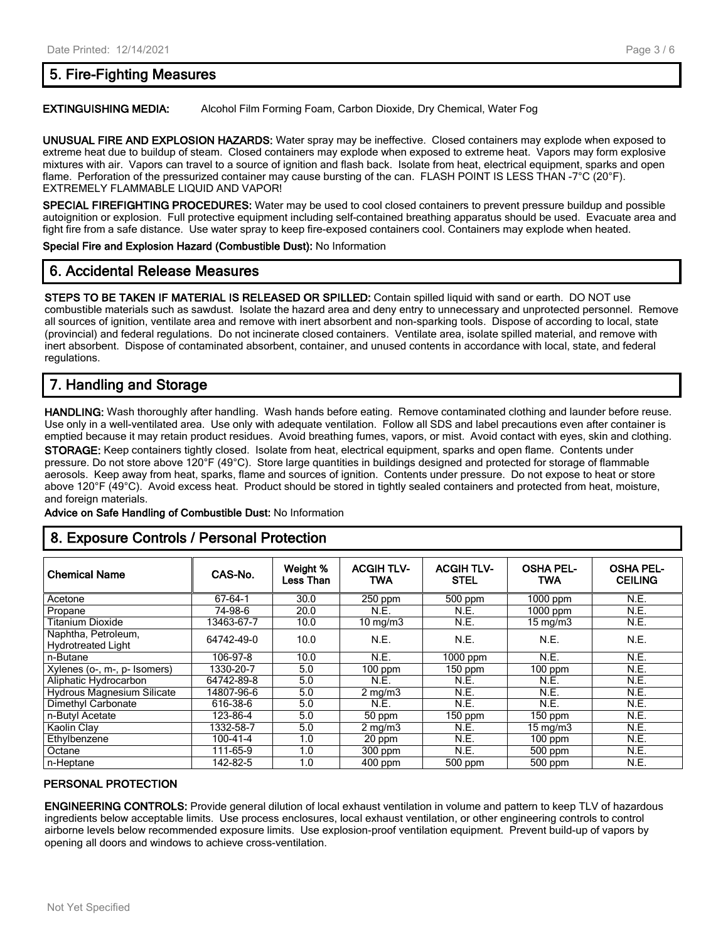### **5. Fire-Fighting Measures**

#### **EXTINGUISHING MEDIA:** Alcohol Film Forming Foam, Carbon Dioxide, Dry Chemical, Water Fog

**UNUSUAL FIRE AND EXPLOSION HAZARDS:** Water spray may be ineffective. Closed containers may explode when exposed to extreme heat due to buildup of steam. Closed containers may explode when exposed to extreme heat. Vapors may form explosive mixtures with air. Vapors can travel to a source of ignition and flash back. Isolate from heat, electrical equipment, sparks and open flame. Perforation of the pressurized container may cause bursting of the can. FLASH POINT IS LESS THAN -7°C (20°F). EXTREMELY FLAMMABLE LIQUID AND VAPOR!

**SPECIAL FIREFIGHTING PROCEDURES:** Water may be used to cool closed containers to prevent pressure buildup and possible autoignition or explosion. Full protective equipment including self-contained breathing apparatus should be used. Evacuate area and fight fire from a safe distance. Use water spray to keep fire-exposed containers cool. Containers may explode when heated.

**Special Fire and Explosion Hazard (Combustible Dust):** No Information

#### **6. Accidental Release Measures**

**STEPS TO BE TAKEN IF MATERIAL IS RELEASED OR SPILLED:** Contain spilled liquid with sand or earth. DO NOT use combustible materials such as sawdust. Isolate the hazard area and deny entry to unnecessary and unprotected personnel. Remove all sources of ignition, ventilate area and remove with inert absorbent and non-sparking tools. Dispose of according to local, state (provincial) and federal regulations. Do not incinerate closed containers. Ventilate area, isolate spilled material, and remove with inert absorbent. Dispose of contaminated absorbent, container, and unused contents in accordance with local, state, and federal regulations.

### **7. Handling and Storage**

**HANDLING:** Wash thoroughly after handling. Wash hands before eating. Remove contaminated clothing and launder before reuse. Use only in a well-ventilated area. Use only with adequate ventilation. Follow all SDS and label precautions even after container is emptied because it may retain product residues. Avoid breathing fumes, vapors, or mist. Avoid contact with eyes, skin and clothing.

**STORAGE:** Keep containers tightly closed. Isolate from heat, electrical equipment, sparks and open flame. Contents under pressure. Do not store above 120°F (49°C). Store large quantities in buildings designed and protected for storage of flammable aerosols. Keep away from heat, sparks, flame and sources of ignition. Contents under pressure. Do not expose to heat or store above 120°F (49°C). Avoid excess heat. Product should be stored in tightly sealed containers and protected from heat, moisture, and foreign materials.

**Advice on Safe Handling of Combustible Dust:** No Information

### **8. Exposure Controls / Personal Protection**

| <b>Chemical Name</b>                             | CAS-No.    | Weight %<br>Less Than | <b>ACGIH TLV-</b><br><b>TWA</b> | <b>ACGIH TLV-</b><br><b>STEL</b> | <b>OSHA PEL-</b><br><b>TWA</b> | <b>OSHA PEL-</b><br><b>CEILING</b> |
|--------------------------------------------------|------------|-----------------------|---------------------------------|----------------------------------|--------------------------------|------------------------------------|
| Acetone                                          | 67-64-1    | 30.0                  | $250$ ppm                       | 500 ppm                          | $1000$ ppm                     | N.E.                               |
| Propane                                          | 74-98-6    | 20.0                  | N.E.                            | N.E.                             | $1000$ ppm                     | N.E.                               |
| Titanium Dioxide                                 | 13463-67-7 | 10.0                  | $10 \text{ mg/m}$               | N.E.                             | $15 \text{ mg/m}$              | N.E.                               |
| Naphtha, Petroleum,<br><b>Hydrotreated Light</b> | 64742-49-0 | 10.0                  | N.E.                            | N.E.                             | N.E.                           | N.E.                               |
| n-Butane                                         | 106-97-8   | 10.0                  | N.E.                            | $1000$ ppm                       | N.E.                           | N.E.                               |
| Xylenes (o-, m-, p- Isomers)                     | 1330-20-7  | 5.0                   | $100$ ppm                       | $150$ ppm                        | $100$ ppm                      | N.E.                               |
| Aliphatic Hydrocarbon                            | 64742-89-8 | 5.0                   | N.E.                            | N.E.                             | N.E.                           | N.E.                               |
| <b>Hydrous Magnesium Silicate</b>                | 14807-96-6 | 5.0                   | $2 \text{ mg/m}$                | N.E.                             | N.E.                           | N.E.                               |
| Dimethyl Carbonate                               | 616-38-6   | 5.0                   | N.E.                            | N.E.                             | N.E.                           | N.E.                               |
| n-Butyl Acetate                                  | 123-86-4   | 5.0                   | 50 ppm                          | $150$ ppm                        | $150$ ppm                      | N.E.                               |
| Kaolin Clav                                      | 1332-58-7  | 5.0                   | $2 \text{ mg/m}$                | N.E.                             | $15 \text{ mg/m}$              | N.E.                               |
| Ethylbenzene                                     | 100-41-4   | 1.0                   | 20 ppm                          | N.E.                             | $100$ ppm                      | N.E.                               |
| Octane                                           | 111-65-9   | 1.0                   | $300$ ppm                       | N.E.                             | 500 ppm                        | N.E.                               |
| n-Heptane                                        | 142-82-5   | 1.0                   | $400$ ppm                       | 500 ppm                          | 500 ppm                        | N.E.                               |

#### **PERSONAL PROTECTION**

**ENGINEERING CONTROLS:** Provide general dilution of local exhaust ventilation in volume and pattern to keep TLV of hazardous ingredients below acceptable limits. Use process enclosures, local exhaust ventilation, or other engineering controls to control airborne levels below recommended exposure limits. Use explosion-proof ventilation equipment. Prevent build-up of vapors by opening all doors and windows to achieve cross-ventilation.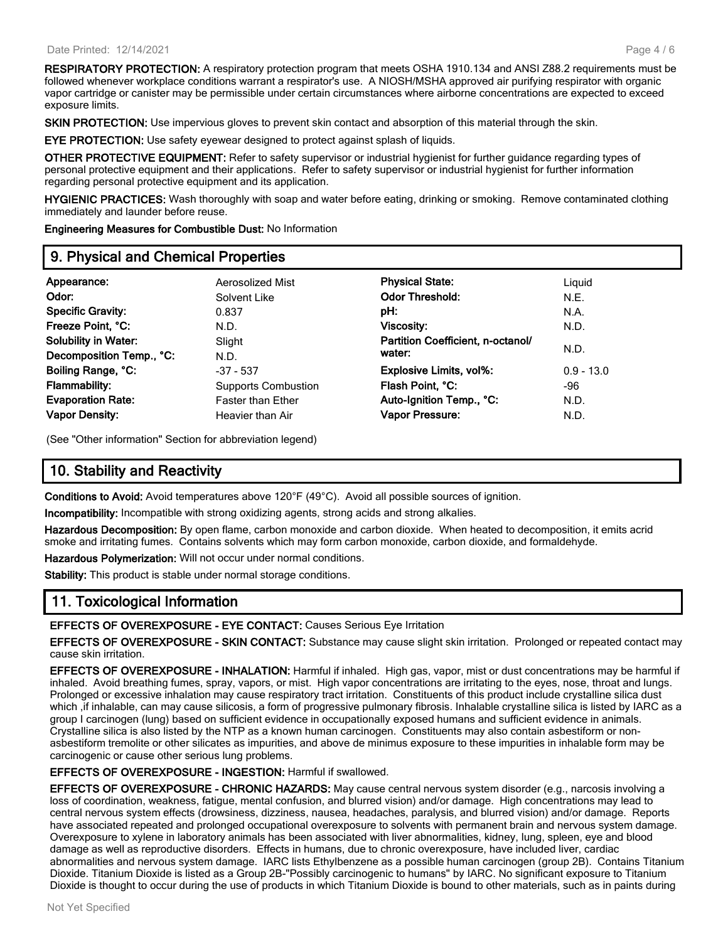**RESPIRATORY PROTECTION:** A respiratory protection program that meets OSHA 1910.134 and ANSI Z88.2 requirements must be followed whenever workplace conditions warrant a respirator's use. A NIOSH/MSHA approved air purifying respirator with organic vapor cartridge or canister may be permissible under certain circumstances where airborne concentrations are expected to exceed exposure limits.

**SKIN PROTECTION:** Use impervious gloves to prevent skin contact and absorption of this material through the skin.

**EYE PROTECTION:** Use safety eyewear designed to protect against splash of liquids.

**OTHER PROTECTIVE EQUIPMENT:** Refer to safety supervisor or industrial hygienist for further guidance regarding types of personal protective equipment and their applications. Refer to safety supervisor or industrial hygienist for further information regarding personal protective equipment and its application.

**HYGIENIC PRACTICES:** Wash thoroughly with soap and water before eating, drinking or smoking. Remove contaminated clothing immediately and launder before reuse.

**Engineering Measures for Combustible Dust:** No Information

### **9. Physical and Chemical Properties**

| Appearance:                 | Aerosolized Mist           | <b>Physical State:</b>            | Liguid       |
|-----------------------------|----------------------------|-----------------------------------|--------------|
| Odor:                       | Solvent Like               | <b>Odor Threshold:</b>            | N.E.         |
| <b>Specific Gravity:</b>    | 0.837                      | pH:                               | N.A.         |
| Freeze Point, °C:           | N.D.                       | Viscosity:                        | N.D.         |
| <b>Solubility in Water:</b> | Slight                     | Partition Coefficient, n-octanol/ |              |
| Decomposition Temp., °C:    | N.D.                       | water:                            | N.D.         |
| Boiling Range, °C:          | $-37 - 537$                | <b>Explosive Limits, vol%:</b>    | $0.9 - 13.0$ |
| <b>Flammability:</b>        | <b>Supports Combustion</b> | Flash Point, °C:                  | -96          |
| <b>Evaporation Rate:</b>    | <b>Faster than Ether</b>   | Auto-Ignition Temp., °C:          | N.D.         |
| <b>Vapor Density:</b>       | Heavier than Air           | Vapor Pressure:                   | N.D.         |
|                             |                            |                                   |              |

(See "Other information" Section for abbreviation legend)

### **10. Stability and Reactivity**

**Conditions to Avoid:** Avoid temperatures above 120°F (49°C). Avoid all possible sources of ignition.

**Incompatibility:** Incompatible with strong oxidizing agents, strong acids and strong alkalies.

**Hazardous Decomposition:** By open flame, carbon monoxide and carbon dioxide. When heated to decomposition, it emits acrid smoke and irritating fumes. Contains solvents which may form carbon monoxide, carbon dioxide, and formaldehyde.

**Hazardous Polymerization:** Will not occur under normal conditions.

**Stability:** This product is stable under normal storage conditions.

### **11. Toxicological Information**

**EFFECTS OF OVEREXPOSURE - EYE CONTACT:** Causes Serious Eye Irritation

**EFFECTS OF OVEREXPOSURE - SKIN CONTACT:** Substance may cause slight skin irritation. Prolonged or repeated contact may cause skin irritation.

**EFFECTS OF OVEREXPOSURE - INHALATION:** Harmful if inhaled. High gas, vapor, mist or dust concentrations may be harmful if inhaled. Avoid breathing fumes, spray, vapors, or mist. High vapor concentrations are irritating to the eyes, nose, throat and lungs. Prolonged or excessive inhalation may cause respiratory tract irritation. Constituents of this product include crystalline silica dust which , if inhalable, can may cause silicosis, a form of progressive pulmonary fibrosis. Inhalable crystalline silica is listed by IARC as a group I carcinogen (lung) based on sufficient evidence in occupationally exposed humans and sufficient evidence in animals. Crystalline silica is also listed by the NTP as a known human carcinogen. Constituents may also contain asbestiform or nonasbestiform tremolite or other silicates as impurities, and above de minimus exposure to these impurities in inhalable form may be carcinogenic or cause other serious lung problems.

**EFFECTS OF OVEREXPOSURE - INGESTION:** Harmful if swallowed.

**EFFECTS OF OVEREXPOSURE - CHRONIC HAZARDS:** May cause central nervous system disorder (e.g., narcosis involving a loss of coordination, weakness, fatigue, mental confusion, and blurred vision) and/or damage. High concentrations may lead to central nervous system effects (drowsiness, dizziness, nausea, headaches, paralysis, and blurred vision) and/or damage. Reports have associated repeated and prolonged occupational overexposure to solvents with permanent brain and nervous system damage. Overexposure to xylene in laboratory animals has been associated with liver abnormalities, kidney, lung, spleen, eye and blood damage as well as reproductive disorders. Effects in humans, due to chronic overexposure, have included liver, cardiac abnormalities and nervous system damage. IARC lists Ethylbenzene as a possible human carcinogen (group 2B). Contains Titanium Dioxide. Titanium Dioxide is listed as a Group 2B-"Possibly carcinogenic to humans" by IARC. No significant exposure to Titanium Dioxide is thought to occur during the use of products in which Titanium Dioxide is bound to other materials, such as in paints during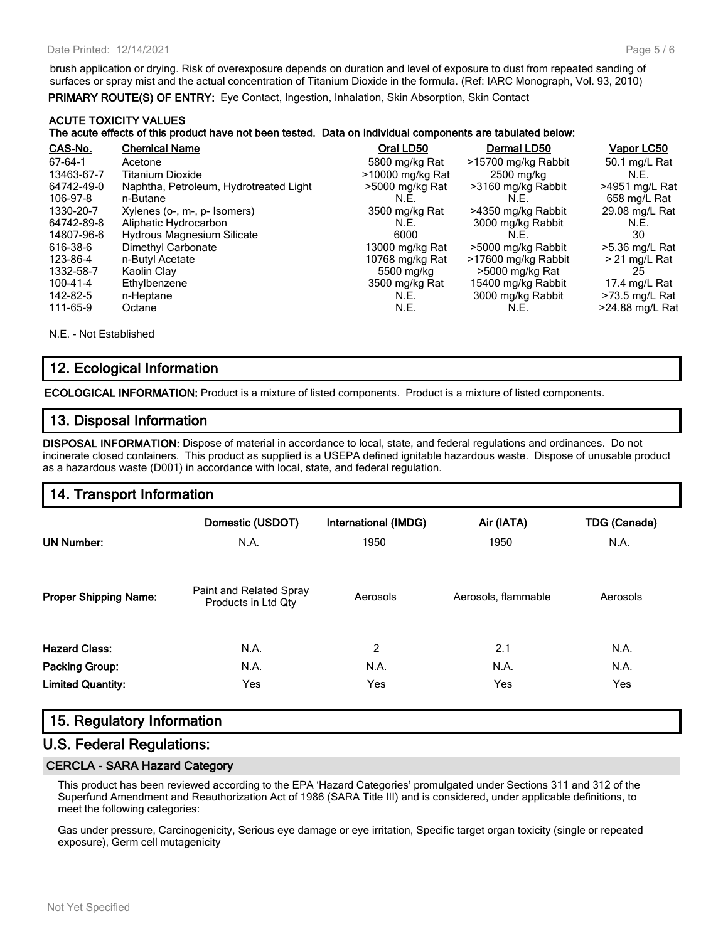brush application or drying. Risk of overexposure depends on duration and level of exposure to dust from repeated sanding of surfaces or spray mist and the actual concentration of Titanium Dioxide in the formula. (Ref: IARC Monograph, Vol. 93, 2010)

**PRIMARY ROUTE(S) OF ENTRY:** Eye Contact, Ingestion, Inhalation, Skin Absorption, Skin Contact

#### **ACUTE TOXICITY VALUES The acute effects of this product have not been tested. Data on individual components are tabulated below:**

| CAS-No.    | <b>Chemical Name</b>                   | Oral LD50        | Dermal LD50         | <u>Vapor LC50</u> |
|------------|----------------------------------------|------------------|---------------------|-------------------|
| 67-64-1    | Acetone                                | 5800 mg/kg Rat   | >15700 mg/kg Rabbit | 50.1 mg/L Rat     |
| 13463-67-7 | <b>Titanium Dioxide</b>                | >10000 mg/kg Rat | 2500 mg/kg          | N.E.              |
| 64742-49-0 | Naphtha, Petroleum, Hydrotreated Light | >5000 mg/kg Rat  | >3160 mg/kg Rabbit  | >4951 mg/L Rat    |
| 106-97-8   | n-Butane                               | N.E.             | N.E.                | 658 mg/L Rat      |
| 1330-20-7  | Xylenes (o-, m-, p- Isomers)           | 3500 mg/kg Rat   | >4350 mg/kg Rabbit  | 29.08 mg/L Rat    |
| 64742-89-8 | Aliphatic Hydrocarbon                  | N.E.             | 3000 mg/kg Rabbit   | N.E.              |
| 14807-96-6 | Hydrous Magnesium Silicate             | 6000             | N.E.                | 30                |
| 616-38-6   | Dimethyl Carbonate                     | 13000 mg/kg Rat  | >5000 mg/kg Rabbit  | >5.36 mg/L Rat    |
| 123-86-4   | n-Butyl Acetate                        | 10768 mg/kg Rat  | >17600 mg/kg Rabbit | $>$ 21 mg/L Rat   |
| 1332-58-7  | Kaolin Clay                            | 5500 mg/kg       | >5000 mg/kg Rat     | 25                |
| 100-41-4   | Ethylbenzene                           | 3500 mg/kg Rat   | 15400 mg/kg Rabbit  | 17.4 ma/L Rat     |
| 142-82-5   | n-Heptane                              | N.E.             | 3000 mg/kg Rabbit   | $>73.5$ mg/L Rat  |
| 111-65-9   | Octane                                 | N.E.             | N.E.                | >24.88 mg/L Rat   |

N.E. - Not Established

### **12. Ecological Information**

**ECOLOGICAL INFORMATION:** Product is a mixture of listed components. Product is a mixture of listed components.

### **13. Disposal Information**

**DISPOSAL INFORMATION:** Dispose of material in accordance to local, state, and federal regulations and ordinances. Do not incinerate closed containers. This product as supplied is a USEPA defined ignitable hazardous waste. Dispose of unusable product as a hazardous waste (D001) in accordance with local, state, and federal regulation.

### **14. Transport Information**

| <b>UN Number:</b>            | Domestic (USDOT)<br>N.A.                       | International (IMDG)<br>1950 | Air (IATA)<br>1950  | <b>TDG (Canada)</b><br>N.A. |
|------------------------------|------------------------------------------------|------------------------------|---------------------|-----------------------------|
| <b>Proper Shipping Name:</b> | Paint and Related Spray<br>Products in Ltd Qty | Aerosols                     | Aerosols, flammable | Aerosols                    |
| <b>Hazard Class:</b>         | N.A.                                           | 2                            | 2.1                 | N.A.                        |
| <b>Packing Group:</b>        | N.A.                                           | N.A.                         | N.A.                | N.A.                        |
| <b>Limited Quantity:</b>     | Yes                                            | Yes                          | Yes                 | Yes                         |

### **15. Regulatory Information**

#### **U.S. Federal Regulations:**

#### **CERCLA - SARA Hazard Category**

This product has been reviewed according to the EPA 'Hazard Categories' promulgated under Sections 311 and 312 of the Superfund Amendment and Reauthorization Act of 1986 (SARA Title III) and is considered, under applicable definitions, to meet the following categories:

Gas under pressure, Carcinogenicity, Serious eye damage or eye irritation, Specific target organ toxicity (single or repeated exposure), Germ cell mutagenicity